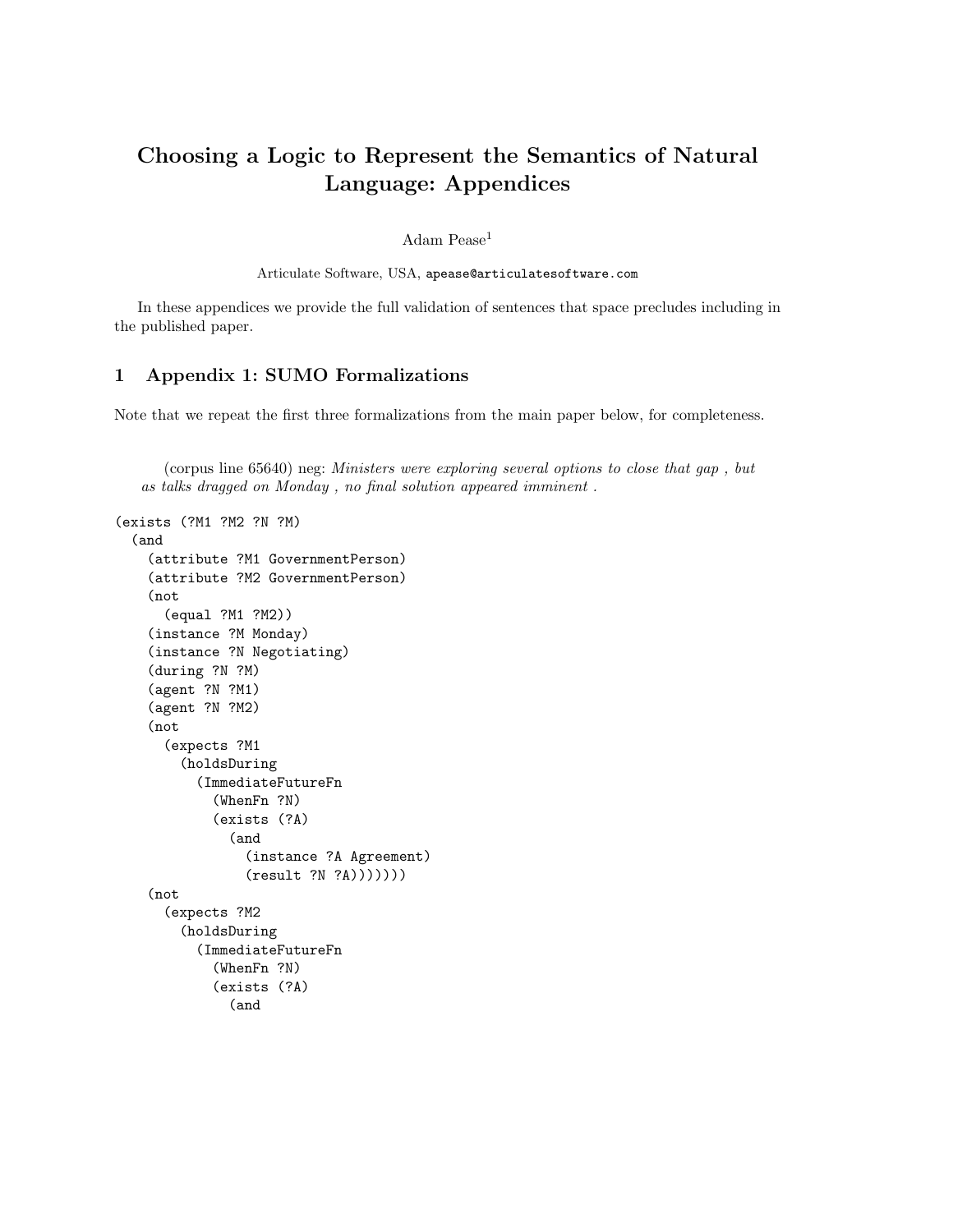## <span id="page-0-0"></span>Choosing a Logic to Represent the Semantics of Natural Language: Appendices

Adam Pease<sup>1</sup>

Articulate Software, USA, apease@articulatesoftware.com

In these appendices we provide the full validation of sentences that space precludes including in the published paper.

## 1 Appendix 1: SUMO Formalizations

Note that we repeat the first three formalizations from the main paper below, for completeness.

(corpus line 65640) neg: Ministers were exploring several options to close that gap , but as talks dragged on Monday , no final solution appeared imminent .

```
(exists (?M1 ?M2 ?N ?M)
 (and
    (attribute ?M1 GovernmentPerson)
    (attribute ?M2 GovernmentPerson)
    (not
      (equal ?M1 ?M2))
    (instance ?M Monday)
    (instance ?N Negotiating)
    (during ?N ?M)
    (agent ?N ?M1)
    (agent ?N ?M2)
    (not
      (expects ?M1
        (holdsDuring
          (ImmediateFutureFn
            (WhenFn ?N)
            (exists (?A)
              (and
                (instance ?A Agreement)
                (result ?N ?A)))))))
    (not
      (expects ?M2
        (holdsDuring
          (ImmediateFutureFn
            (WhenFn ?N)
            (exists (?A)
              (and
```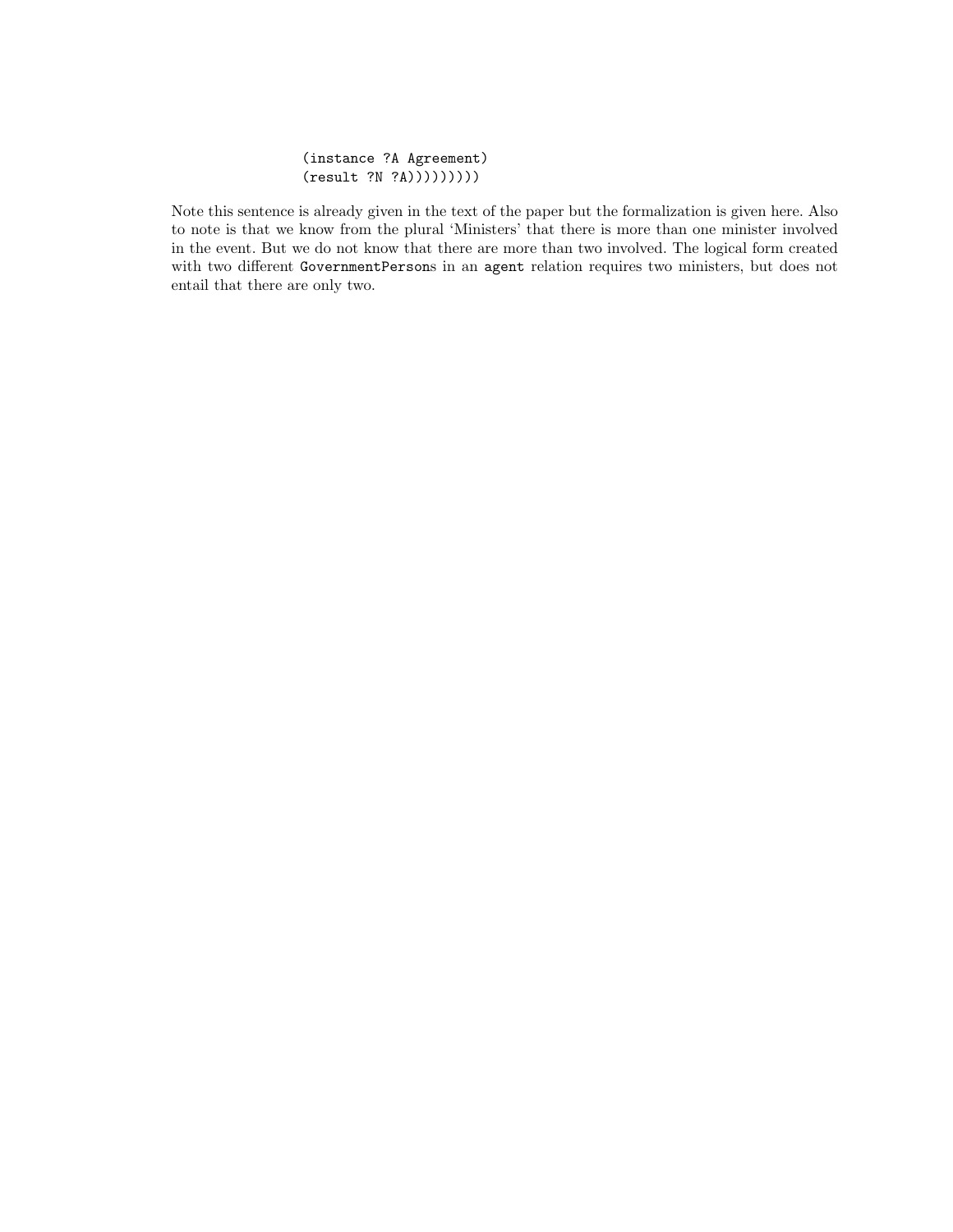## (instance ?A Agreement) (result ?N ?A)))))))))

Note this sentence is already given in the text of the paper but the formalization is given here. Also to note is that we know from the plural 'Ministers' that there is more than one minister involved in the event. But we do not know that there are more than two involved. The logical form created with two different GovernmentPersons in an agent relation requires two ministers, but does not entail that there are only two.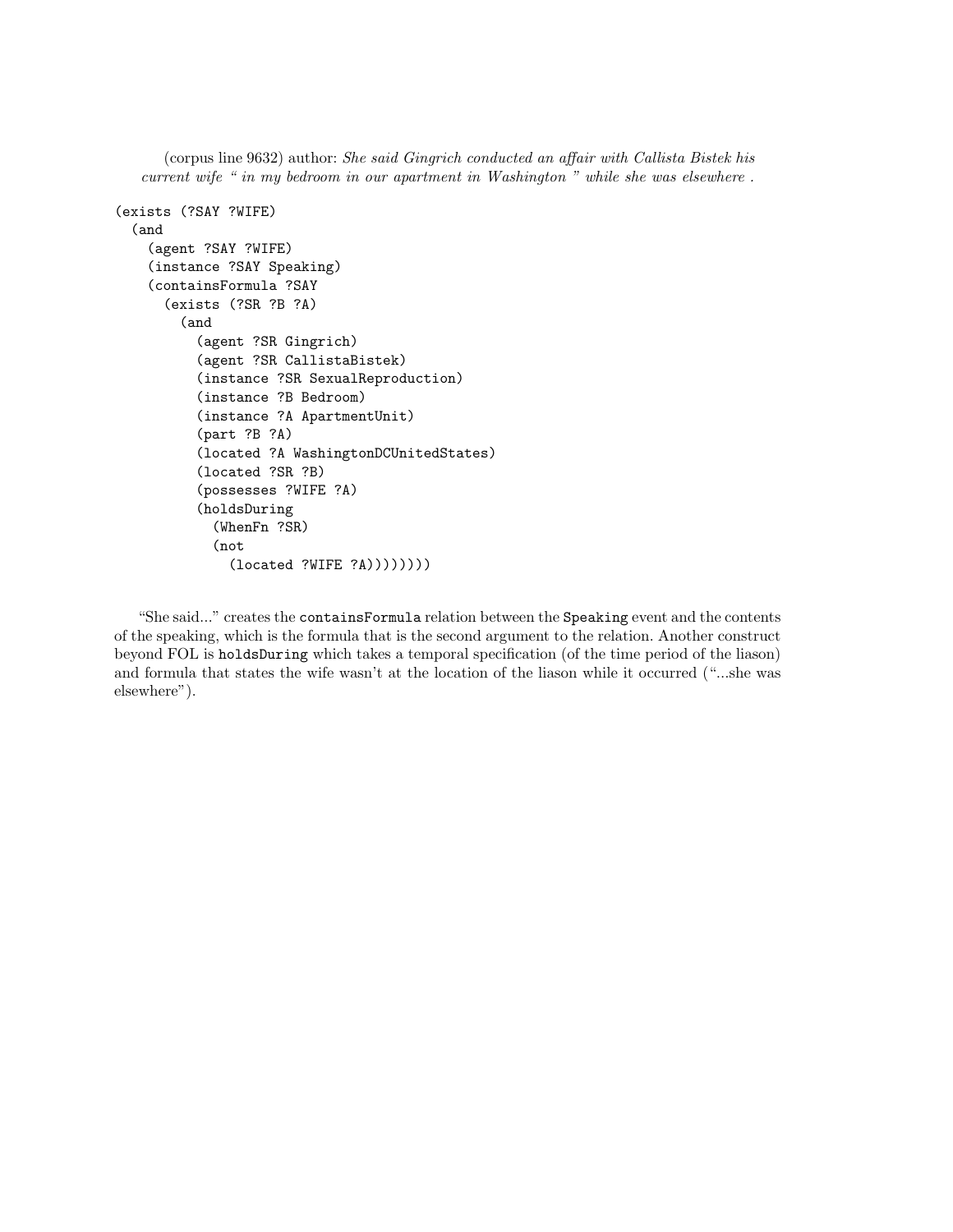(corpus line 9632) author: She said Gingrich conducted an affair with Callista Bistek his current wife " in my bedroom in our apartment in Washington " while she was elsewhere .

```
(exists (?SAY ?WIFE)
  (and
    (agent ?SAY ?WIFE)
    (instance ?SAY Speaking)
    (containsFormula ?SAY
      (exists (?SR ?B ?A)
        (and
          (agent ?SR Gingrich)
          (agent ?SR CallistaBistek)
          (instance ?SR SexualReproduction)
          (instance ?B Bedroom)
          (instance ?A ApartmentUnit)
          (part ?B ?A)
          (located ?A WashingtonDCUnitedStates)
          (located ?SR ?B)
          (possesses ?WIFE ?A)
          (holdsDuring
            (WhenFn ?SR)
            (not
              (located ?WIFE ?A))))))))
```
"She said..." creates the containsFormula relation between the Speaking event and the contents of the speaking, which is the formula that is the second argument to the relation. Another construct beyond FOL is holdsDuring which takes a temporal specification (of the time period of the liason) and formula that states the wife wasn't at the location of the liason while it occurred ("...she was elsewhere").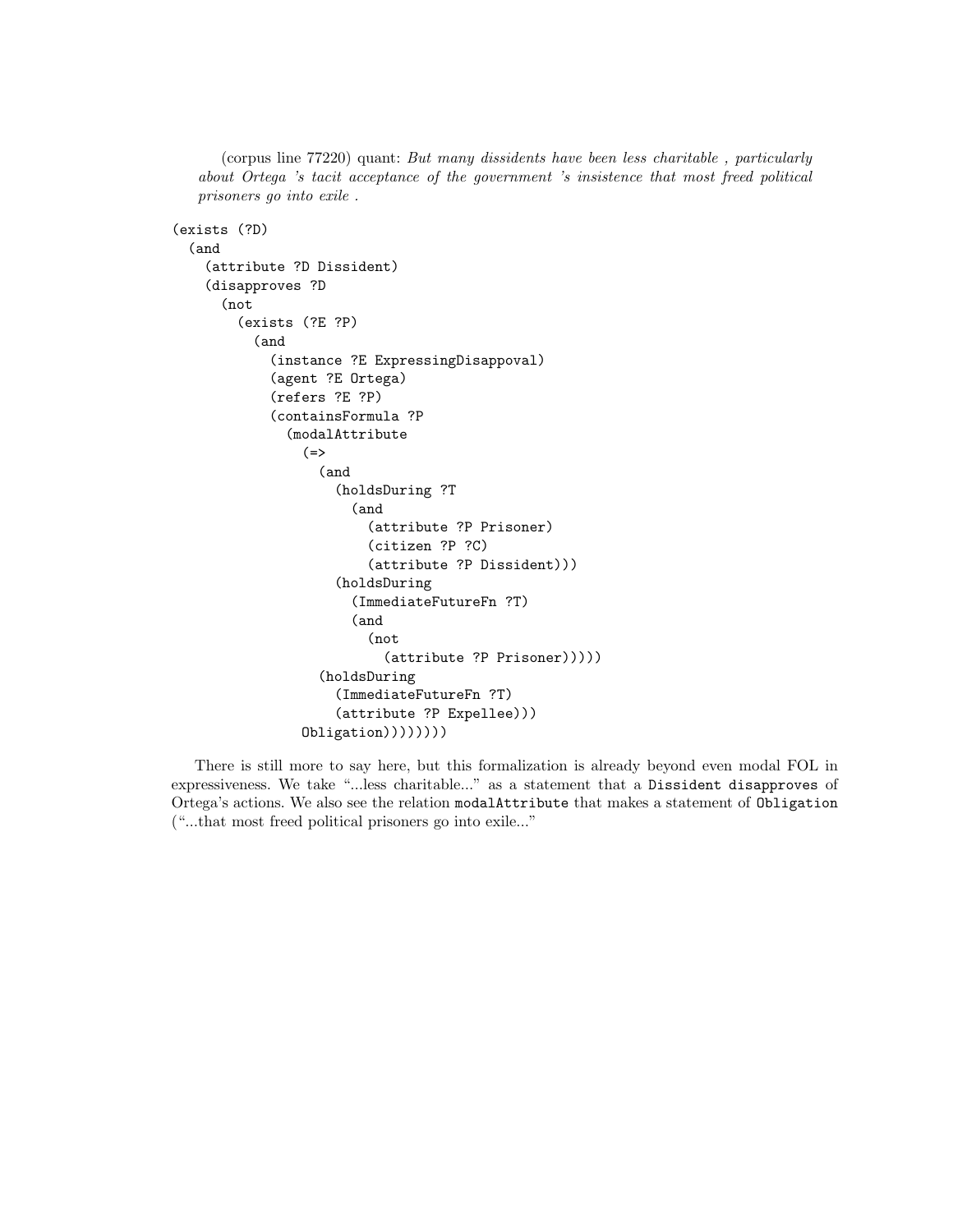(corpus line 77220) quant: But many dissidents have been less charitable , particularly about Ortega 's tacit acceptance of the government 's insistence that most freed political prisoners go into exile .

```
(exists (?D)
  (and
    (attribute ?D Dissident)
    (disapproves ?D
      (not
        (exists (?E ?P)
          (and
            (instance ?E ExpressingDisappoval)
            (agent ?E Ortega)
            (refers ?E ?P)
            (containsFormula ?P
              (modalAttribute
                (=)(and
                     (holdsDuring ?T
                       (and
                         (attribute ?P Prisoner)
                         (citizen ?P ?C)
                         (attribute ?P Dissident)))
                     (holdsDuring
                       (ImmediateFutureFn ?T)
                       (and
                         (not
                           (attribute ?P Prisoner)))))
                  (holdsDuring
                     (ImmediateFutureFn ?T)
                     (attribute ?P Expellee)))
                Obligation))))))))
```
There is still more to say here, but this formalization is already beyond even modal FOL in expressiveness. We take "...less charitable..." as a statement that a Dissident disapproves of Ortega's actions. We also see the relation modalAttribute that makes a statement of Obligation ("...that most freed political prisoners go into exile..."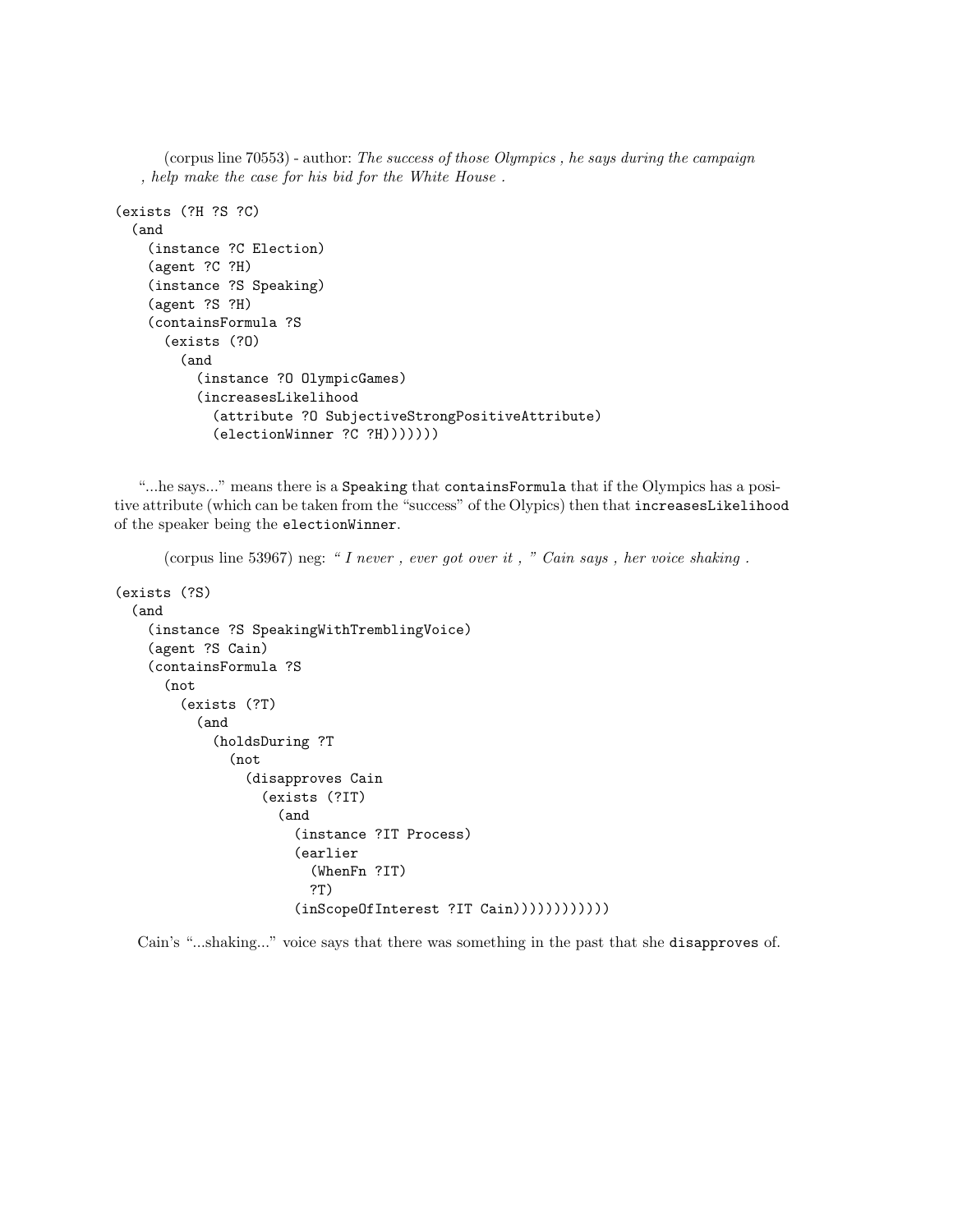```
(corpus line 70553) - author: The success of those Olympics , he says during the campaign
   , help make the case for his bid for the White House .
(exists (?H ?S ?C)
  (and
    (instance ?C Election)
    (agent ?C ?H)
    (instance ?S Speaking)
    (agent ?S ?H)
    (containsFormula ?S
      (exists (?O)
        (and
           (instance ?O OlympicGames)
           (increasesLikelihood
             (attribute ?O SubjectiveStrongPositiveAttribute)
             (electionWinner ?C ?H)))))))
```
"...he says..." means there is a Speaking that containsFormula that if the Olympics has a positive attribute (which can be taken from the "success" of the Olypics) then that increasesLikelihood of the speaker being the electionWinner.

```
(corpus line 53967) neg: " I never, ever got over it, " Cain says, her voice shaking.
(exists (?S)
  (and
    (instance ?S SpeakingWithTremblingVoice)
    (agent ?S Cain)
    (containsFormula ?S
      (not
        (exists (?T)
          (and
            (holdsDuring ?T
               (not
                 (disapproves Cain
                   (exists (?IT)
                     (and
                        (instance ?IT Process)
                        (earlier
                          (WhenFn ?IT)
                         ?T)
                       (inScopeOfInterest ?IT Cain))))))))))))
```
Cain's "...shaking..." voice says that there was something in the past that she disapproves of.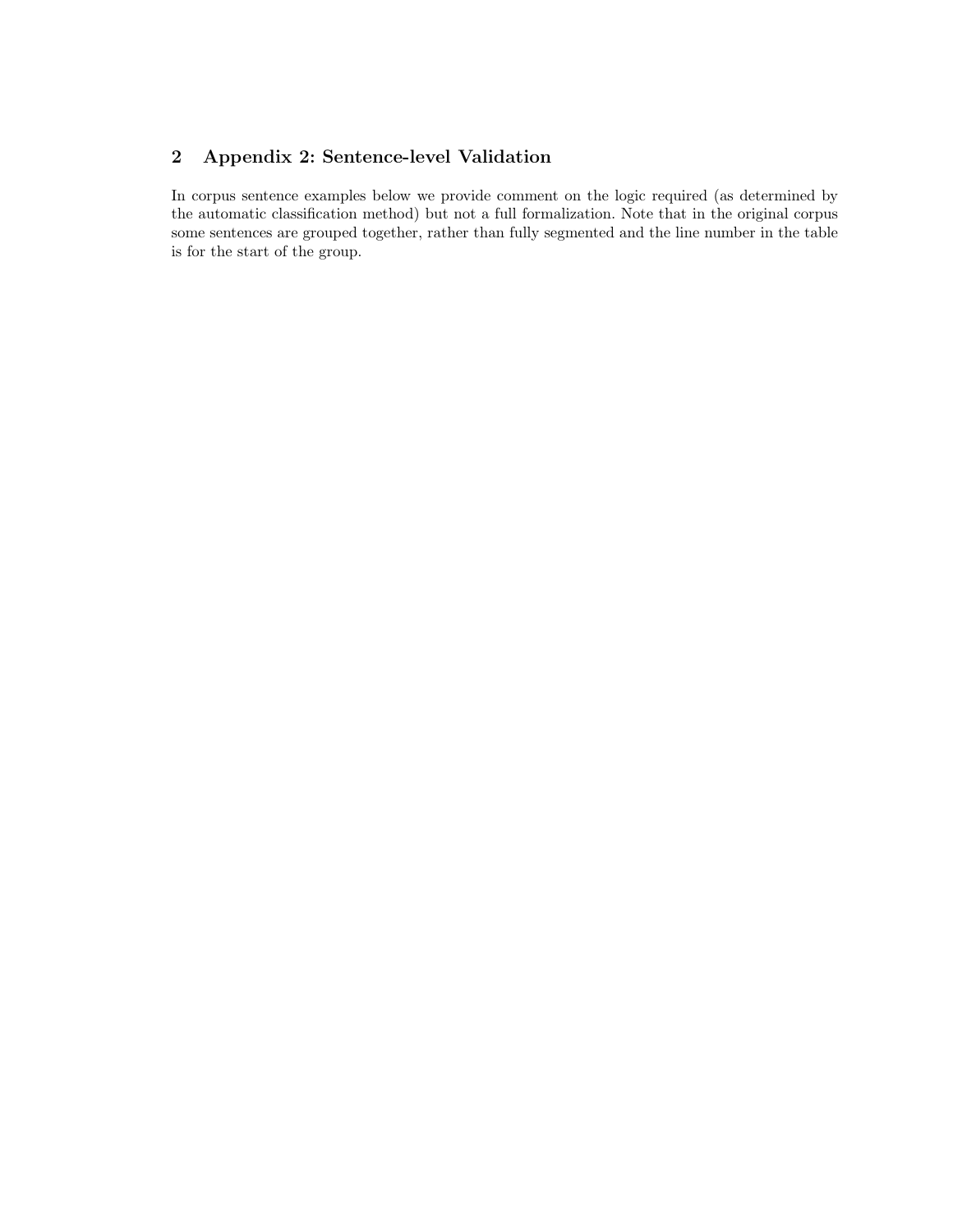## 2 Appendix 2: Sentence-level Validation

In corpus sentence examples below we provide comment on the logic required (as determined by the automatic classification method) but not a full formalization. Note that in the original corpus some sentences are grouped together, rather than fully segmented and the line number in the table is for the start of the group.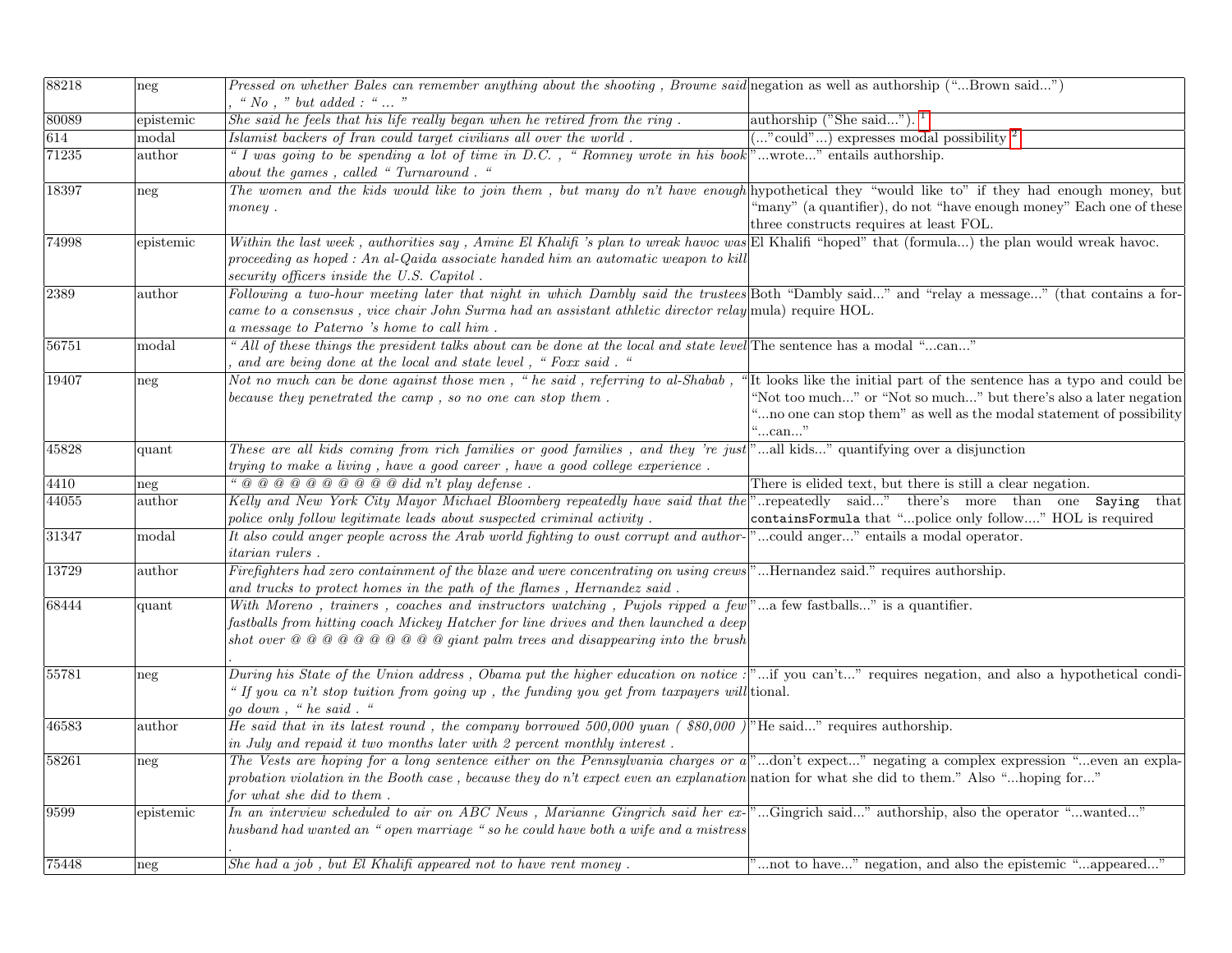| 88218 | neg             | Pressed on whether Bales can remember anything about the shooting, Browne said negation as well as authorship ("Brown said")<br>" $No$ , " but added : "  "                                                                                                                                                                           |                                                                                                                                                      |
|-------|-----------------|---------------------------------------------------------------------------------------------------------------------------------------------------------------------------------------------------------------------------------------------------------------------------------------------------------------------------------------|------------------------------------------------------------------------------------------------------------------------------------------------------|
| 80089 | epistemic       | She said he feels that his life really began when he retired from the ring.                                                                                                                                                                                                                                                           | authorship ("She said"). $1$                                                                                                                         |
| 614   | modal           | Islamist backers of Iran could target civilians all over the world.                                                                                                                                                                                                                                                                   | $(\ldots$ "could") expresses modal possibility <sup>2</sup>                                                                                          |
| 71235 | author          | "I was going to be spending a lot of time in D.C., "Romney wrote in his book"wrote" entails authorship.<br>about the games, called "Turnaround."                                                                                                                                                                                      |                                                                                                                                                      |
| 18397 | neg             | The women and the kids would like to join them, but many do n't have enough hypothetical they "would like to" if they had enough money, but<br>$\n  money$ .                                                                                                                                                                          | "many" (a quantifier), do not "have enough money" Each one of these<br>three constructs requires at least FOL.                                       |
| 74998 | epistemic       | Within the last week, authorities say, Amine El Khalifi 's plan to wreak havoc was El Khalifi "hoped" that (formula) the plan would wreak havoc.<br>proceeding as hoped : An al-Qaida associate handed him an automatic weapon to kill<br>security officers inside the U.S. Capitol.                                                  |                                                                                                                                                      |
| 2389  | author          | Following a two-hour meeting later that night in which Dambly said the trustees Both "Dambly said" and "relay a message" (that contains a for-<br>came to a consensus, vice chair John Surma had an assistant athletic director relay mula) require HOL.<br>a message to Paterno 's home to call him.                                 |                                                                                                                                                      |
| 56751 | modal           | "All of these things the president talks about can be done at the local and state level The sentence has a modal "can"<br>and are being done at the local and state level, "Foxx said. "                                                                                                                                              |                                                                                                                                                      |
| 19407 | neg             | Not no much can be done against those men, "he said, referring to al-Shabab, "It looks like the initial part of the sentence has a typo and could be<br>because they penetrated the camp, so no one can stop them.                                                                                                                    | "Not too much" or "Not so much" but there's also a later negation<br>"no one can stop them" as well as the modal statement of possibility<br>"…can…" |
| 45828 | quant           | These are all kids coming from rich families or good families, and they 're just "all kids" quantifying over a disjunction<br>trying to make a living, have a good career, have a good college experience.                                                                                                                            |                                                                                                                                                      |
| 4410  | neg             | " $@ @ @ @ @ @ @ @ @ @ @ did n't play \, defense \,.$                                                                                                                                                                                                                                                                                 | There is elided text, but there is still a clear negation.                                                                                           |
| 44055 | author          | Kelly and New York City Mayor Michael Bloomberg repeatedly have said that the "repeatedly said" there's more than one Saying that                                                                                                                                                                                                     |                                                                                                                                                      |
|       |                 | police only follow legitimate leads about suspected criminal activity.                                                                                                                                                                                                                                                                | containsFormula that "police only follow" HOL is required                                                                                            |
| 31347 | modal           | It also could anger people across the Arab world fighting to oust corrupt and author-"could anger" entails a modal operator.<br><i>itarian rulers</i> .                                                                                                                                                                               |                                                                                                                                                      |
| 13729 | $_{\rm author}$ | Firefighters had zero containment of the blaze and were concentrating on using crews"Hernandez said." requires authorship.<br>and trucks to protect homes in the path of the flames, Hernandez said.                                                                                                                                  |                                                                                                                                                      |
| 68444 | quant           | With Moreno, trainers, coaches and instructors watching, Pujols ripped a few"a few fastballs" is a quantifier.<br>fastballs from hitting coach Mickey Hatcher for line drives and then launched a deep                                                                                                                                |                                                                                                                                                      |
| 55781 | neg             | During his State of the Union address, Obama put the higher education on notice: "if you can't" requires negation, and also a hypothetical condi-<br>" If you can't stop tuition from going up, the funding you get from taxpayers will tional.<br>go down, "he said."                                                                |                                                                                                                                                      |
| 46583 | author          | He said that in its latest round, the company borrowed 500,000 yuan (\$80,000) <sup>n</sup> He said" requires authorship.<br>in July and repaid it two months later with 2 percent monthly interest.                                                                                                                                  |                                                                                                                                                      |
| 58261 | neg             | The Vests are hoping for a long sentence either on the Pennsylvania charges or a <sup>[2]</sup> don't expect" negating a complex expression "even an expla-<br>probation violation in the Booth case, because they do n't expect even an explanation nation for what she did to them." Also "hoping for"<br>for what she did to them. |                                                                                                                                                      |
| 9599  | epistemic       | In an interview scheduled to air on ABC News, Marianne Gingrich said her ex- "Gingrich said" authorship, also the operator "wanted"<br>husband had wanted an "open marriage " so he could have both a wife and a mistress                                                                                                             |                                                                                                                                                      |
| 75448 | neg             | She had a job, but El Khalifi appeared not to have rent money.                                                                                                                                                                                                                                                                        | "not to have" negation, and also the epistemic "appeared"                                                                                            |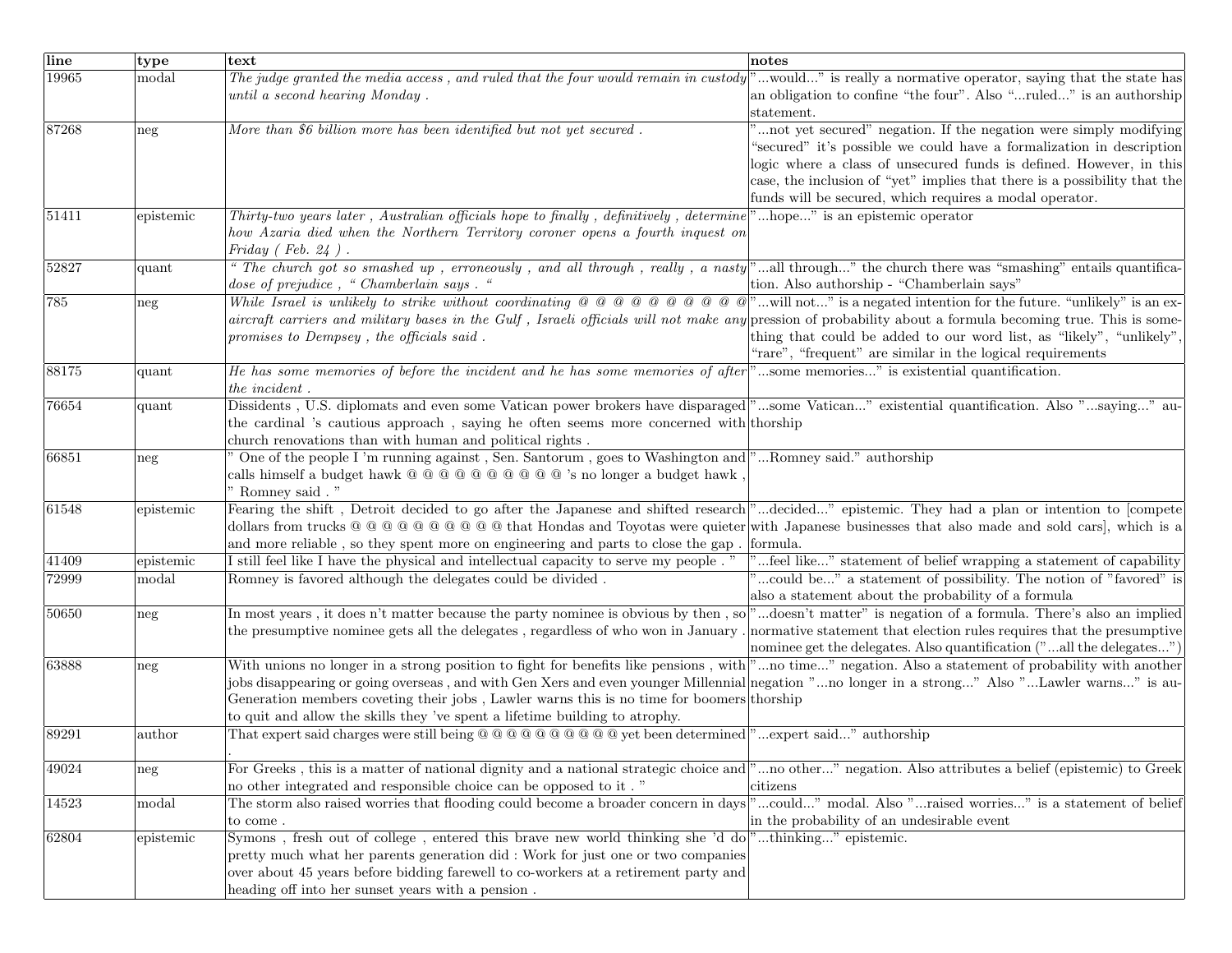| line  | type      | text                                                                                                                                                                                                                                                                                                                                                                                                 | notes                                                                     |
|-------|-----------|------------------------------------------------------------------------------------------------------------------------------------------------------------------------------------------------------------------------------------------------------------------------------------------------------------------------------------------------------------------------------------------------------|---------------------------------------------------------------------------|
| 19965 | modal     | The judge granted the media access, and ruled that the four would remain in custody                                                                                                                                                                                                                                                                                                                  | "would" is really a normative operator, saying that the state has         |
|       |           | until a second hearing Monday.                                                                                                                                                                                                                                                                                                                                                                       | an obligation to confine "the four". Also "ruled" is an authorship        |
|       |           |                                                                                                                                                                                                                                                                                                                                                                                                      | statement.                                                                |
| 87268 | neg       | More than $\overline{\mathcal{S}6}$ billion more has been identified but not yet secured.                                                                                                                                                                                                                                                                                                            | not yet secured" negation. If the negation were simply modifying          |
|       |           |                                                                                                                                                                                                                                                                                                                                                                                                      | "secured" it's possible we could have a formalization in description      |
|       |           |                                                                                                                                                                                                                                                                                                                                                                                                      | logic where a class of unsecured funds is defined. However, in this       |
|       |           |                                                                                                                                                                                                                                                                                                                                                                                                      | case, the inclusion of "yet" implies that there is a possibility that the |
|       |           |                                                                                                                                                                                                                                                                                                                                                                                                      | funds will be secured, which requires a modal operator.                   |
| 51411 | epistemic | Thirty-two years later, Australian officials hope to finally, definitively, determine                                                                                                                                                                                                                                                                                                                | "hope" is an epistemic operator                                           |
|       |           | how Azaria died when the Northern Territory coroner opens a fourth inquest on                                                                                                                                                                                                                                                                                                                        |                                                                           |
|       |           | Friday $(Feb. 24)$ .                                                                                                                                                                                                                                                                                                                                                                                 |                                                                           |
| 52827 | quant     | " The church got so smashed up, erroneously, and all through, really, a nasty"all through" the church there was "smashing" entails quantifica-                                                                                                                                                                                                                                                       |                                                                           |
|       |           | dose of prejudice, "Chamberlain says. "                                                                                                                                                                                                                                                                                                                                                              | tion. Also authorship - "Chamberlain says"                                |
| 785   | neg       | While Israel is unlikely to strike without coordinating $\emptyset$ $\emptyset$ $\emptyset$ $\emptyset$ $\emptyset$ $\emptyset$ $\emptyset$ $\emptyset$ $\emptyset$ $\emptyset$ $\emptyset$ $\emptyset$ $\emptyset$ $\emptyset$ $\emptyset$ $\emptyset$ $\emptyset$ $\emptyset$ $\emptyset$ $\emptyset$ $\emptyset$ $\emptyset$ $\emptyset$ $\emptyset$ $\emptyset$ $\emptyset$ $\emptyset$ $\empty$ |                                                                           |
|       |           | aircraft carriers and military bases in the Gulf, Israeli officials will not make any pression of probability about a formula becoming true. This is some-                                                                                                                                                                                                                                           |                                                                           |
|       |           | promises to Dempsey, the officials said.                                                                                                                                                                                                                                                                                                                                                             | thing that could be added to our word list, as "likely", "unlikely",      |
|       |           |                                                                                                                                                                                                                                                                                                                                                                                                      | "rare", "frequent" are similar in the logical requirements                |
| 88175 | quant     | He has some memories of before the incident and he has some memories of after <sup>"</sup> "some memories" is existential quantification.                                                                                                                                                                                                                                                            |                                                                           |
|       |           | the incident.                                                                                                                                                                                                                                                                                                                                                                                        |                                                                           |
| 76654 | quant     | Dissidents, U.S. diplomats and even some Vatican power brokers have disparaged"some Vatican" existential quantification. Also "saying" au-                                                                                                                                                                                                                                                           |                                                                           |
|       |           | the cardinal 's cautious approach, saying he often seems more concerned with thorship                                                                                                                                                                                                                                                                                                                |                                                                           |
|       |           | church renovations than with human and political rights.                                                                                                                                                                                                                                                                                                                                             |                                                                           |
| 66851 | neg       | One of the people I'm running against, Sen. Santorum, goes to Washington and "Romney said." authorship                                                                                                                                                                                                                                                                                               |                                                                           |
|       |           | calls himself a budget hawk @ @ @ @ @ @ @ @ @ 's no longer a budget hawk,                                                                                                                                                                                                                                                                                                                            |                                                                           |
| 61548 |           | Romney said . "<br>Fearing the shift, Detroit decided to go after the Japanese and shifted research "decided" epistemic. They had a plan or intention to [compete                                                                                                                                                                                                                                    |                                                                           |
|       | epistemic | dollars from trucks @ @ @ @ @ @ @ @ @ that Hondas and Toyotas were quieter with Japanese businesses that also made and sold cars, which is a                                                                                                                                                                                                                                                         |                                                                           |
|       |           | and more reliable, so they spent more on engineering and parts to close the gap.                                                                                                                                                                                                                                                                                                                     | formula.                                                                  |
| 41409 | epistemic | I still feel like I have the physical and intellectual capacity to serve my people."                                                                                                                                                                                                                                                                                                                 | feel like" statement of belief wrapping a statement of capability         |
| 72999 | modal     | Romney is favored although the delegates could be divided.                                                                                                                                                                                                                                                                                                                                           | could be" a statement of possibility. The notion of "favored" is          |
|       |           |                                                                                                                                                                                                                                                                                                                                                                                                      | also a statement about the probability of a formula                       |
| 50650 | neg       | In most years, it does n't matter because the party nominee is obvious by then, so "doesn't matter" is negation of a formula. There's also an implied                                                                                                                                                                                                                                                |                                                                           |
|       |           | the presumptive nominee gets all the delegates, regardless of who won in January.                                                                                                                                                                                                                                                                                                                    | normative statement that election rules requires that the presumptive     |
|       |           |                                                                                                                                                                                                                                                                                                                                                                                                      | nominee get the delegates. Also quantification ("all the delegates")      |
| 63888 | neg       | With unions no longer in a strong position to fight for benefits like pensions, with "no time" negation. Also a statement of probability with another                                                                                                                                                                                                                                                |                                                                           |
|       |           | jobs disappearing or going overseas, and with Gen Xers and even younger Millennial negation "no longer in a strong" Also "Lawler warns" is au-                                                                                                                                                                                                                                                       |                                                                           |
|       |           | Generation members coveting their jobs, Lawler warns this is no time for boomers thorship                                                                                                                                                                                                                                                                                                            |                                                                           |
|       |           | to quit and allow the skills they 've spent a lifetime building to atrophy.                                                                                                                                                                                                                                                                                                                          |                                                                           |
| 89291 | author    | That expert said charges were still being $@@@@@@@@@@%$ yet been determined]"expert said" authorship                                                                                                                                                                                                                                                                                                 |                                                                           |
|       |           |                                                                                                                                                                                                                                                                                                                                                                                                      |                                                                           |
| 49024 | neg       | For Greeks, this is a matter of national dignity and a national strategic choice and "no other" negation. Also attributes a belief (epistemic) to Greek                                                                                                                                                                                                                                              |                                                                           |
|       |           | no other integrated and responsible choice can be opposed to it."                                                                                                                                                                                                                                                                                                                                    | citizens                                                                  |
| 14523 | modal     | The storm also raised worries that flooding could become a broader concern in days                                                                                                                                                                                                                                                                                                                   | "could" modal. Also "raised worries" is a statement of belief             |
|       |           | to come.                                                                                                                                                                                                                                                                                                                                                                                             | in the probability of an undesirable event                                |
| 62804 | epistemic | Symons, fresh out of college, entered this brave new world thinking she 'd do "thinking" epistemic.                                                                                                                                                                                                                                                                                                  |                                                                           |
|       |           | pretty much what her parents generation did: Work for just one or two companies                                                                                                                                                                                                                                                                                                                      |                                                                           |
|       |           | over about 45 years before bidding farewell to co-workers at a retirement party and                                                                                                                                                                                                                                                                                                                  |                                                                           |
|       |           | heading off into her sunset years with a pension.                                                                                                                                                                                                                                                                                                                                                    |                                                                           |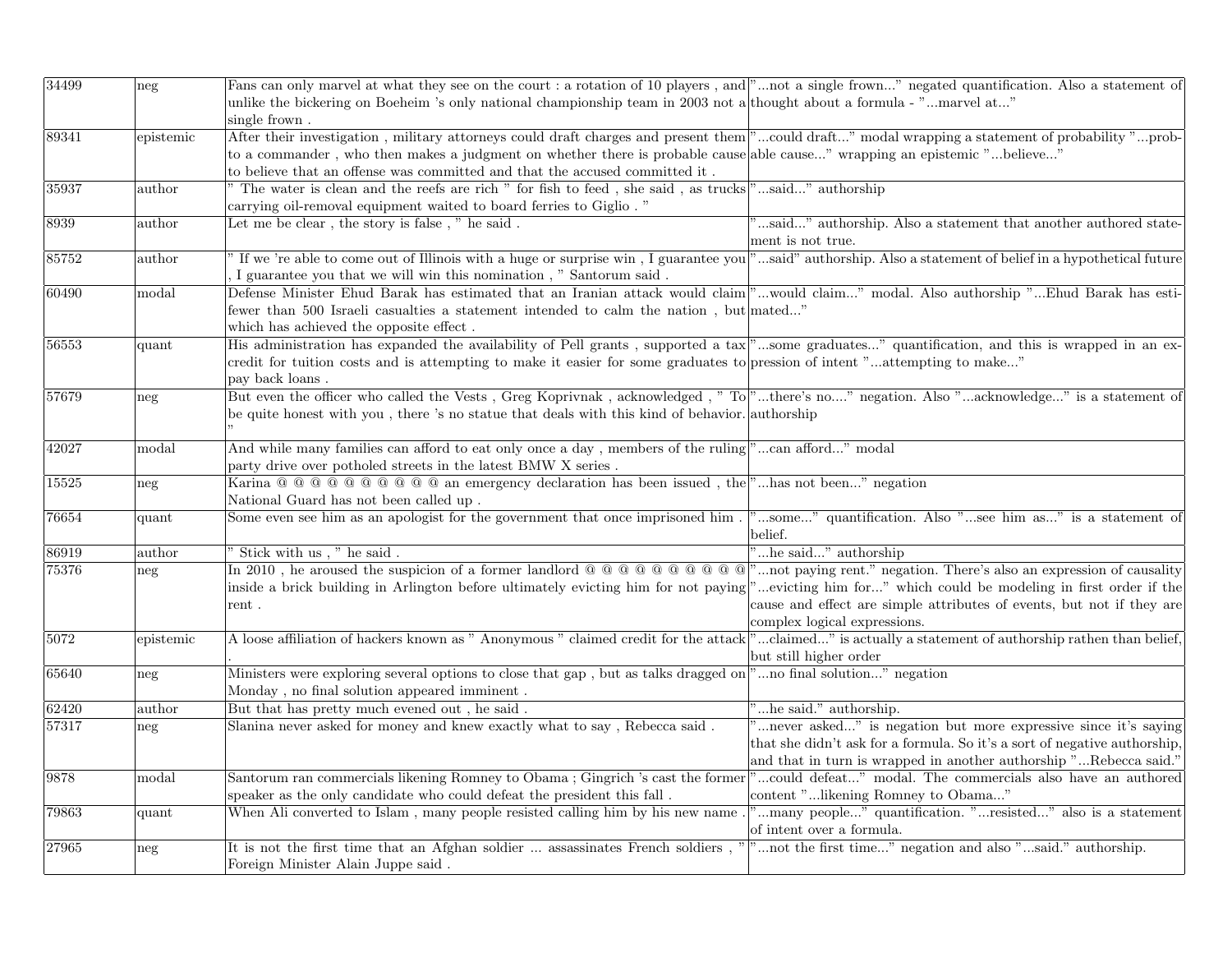| 34499 | neg                     | Fans can only marvel at what they see on the court : a rotation of 10 players, and " not a single frown" negated quantification. Also a statement of<br>unlike the bickering on Boeheim 's only national championship team in 2003 not a thought about a formula - "marvel at" |                                                                                       |
|-------|-------------------------|--------------------------------------------------------------------------------------------------------------------------------------------------------------------------------------------------------------------------------------------------------------------------------|---------------------------------------------------------------------------------------|
|       |                         | single frown.                                                                                                                                                                                                                                                                  |                                                                                       |
| 89341 | epistemic               | After their investigation, military attorneys could draft charges and present them <sup>[9</sup> ]could draft" modal wrapping a statement of probability "prob-                                                                                                                |                                                                                       |
|       |                         | to a commander, who then makes a judgment on whether there is probable cause able cause" wrapping an epistemic "believe"                                                                                                                                                       |                                                                                       |
|       |                         | to believe that an offense was committed and that the accused committed it .                                                                                                                                                                                                   |                                                                                       |
| 35937 | $\rm author$            | " The water is clean and the reefs are rich " for fish to feed, she said, as trucks "said" authorship                                                                                                                                                                          |                                                                                       |
|       |                         | carrying oil-removal equipment waited to board ferries to Giglio."                                                                                                                                                                                                             |                                                                                       |
| 8939  | $\operatorname{author}$ | Let me be clear, the story is false, " he said.                                                                                                                                                                                                                                | "said" authorship. Also a statement that another authored state-<br>ment is not true. |
| 85752 | $_{\rm author}$         | If we 're able to come out of Illinois with a huge or surprise win, I guarantee you <sup>"</sup> said" authorship. Also a statement of belief in a hypothetical future                                                                                                         |                                                                                       |
|       |                         | I guarantee you that we will win this nomination, " Santorum said.                                                                                                                                                                                                             |                                                                                       |
| 60490 | modal                   | Defense Minister Ehud Barak has estimated that an Iranian attack would claim <sup>"</sup> would claim" modal. Also authorship "Ehud Barak has esti-<br>fewer than 500 Israeli casualties a statement intended to calm the nation, but mated"                                   |                                                                                       |
|       |                         | which has achieved the opposite effect.                                                                                                                                                                                                                                        |                                                                                       |
| 56553 |                         | His administration has expanded the availability of Pell grants, supported a tax "some graduates" quantification, and this is wrapped in an ex-                                                                                                                                |                                                                                       |
|       | quant                   |                                                                                                                                                                                                                                                                                |                                                                                       |
|       |                         | credit for tuition costs and is attempting to make it easier for some graduates to pression of intent "attempting to make"<br>pay back loans.                                                                                                                                  |                                                                                       |
| 57679 | neg                     | But even the officer who called the Vests, Greg Koprivnak, acknowledged, "To "there's no" negation. Also "acknowledge" is a statement of                                                                                                                                       |                                                                                       |
|       |                         | be quite honest with you, there 's no statue that deals with this kind of behavior. authorship                                                                                                                                                                                 |                                                                                       |
|       |                         |                                                                                                                                                                                                                                                                                |                                                                                       |
| 42027 | $_{\rm modal}$          | And while many families can afford to eat only once a day, members of the ruling "can afford" modal                                                                                                                                                                            |                                                                                       |
|       |                         | party drive over potholed streets in the latest BMW X series.                                                                                                                                                                                                                  |                                                                                       |
| 15525 |                         | Karina $@ @ @ @ @ @ @ @ @ @ @ \\$ an emergency declaration has been issued, the " has not been" negation                                                                                                                                                                       |                                                                                       |
|       | neg                     | National Guard has not been called up.                                                                                                                                                                                                                                         |                                                                                       |
| 76654 |                         | Some even see him as an apologist for the government that once imprisoned him.                                                                                                                                                                                                 | "some" quantification. Also "see him as" is a statement of                            |
|       | quant                   |                                                                                                                                                                                                                                                                                | belief.                                                                               |
| 86919 | $_{\rm author}$         | Stick with us , $"$ he said .                                                                                                                                                                                                                                                  | "he said" authorship                                                                  |
| 75376 | neg                     | In 2010, he aroused the suspicion of a former landlord $@@@@@@@@@@"$ not paying rent." negation. There's also an expression of causality                                                                                                                                       |                                                                                       |
|       |                         | inside a brick building in Arlington before ultimately evicting him for not paying "evicting him for" which could be modeling in first order if the                                                                                                                            |                                                                                       |
|       |                         | rent.                                                                                                                                                                                                                                                                          | cause and effect are simple attributes of events, but not if they are                 |
|       |                         |                                                                                                                                                                                                                                                                                | complex logical expressions.                                                          |
| 5072  | epistemic               | A loose affiliation of hackers known as " Anonymous " claimed credit for the attack "claimed" is actually a statement of authorship rathen than belief,                                                                                                                        |                                                                                       |
|       |                         |                                                                                                                                                                                                                                                                                | but still higher order                                                                |
| 65640 | neg                     | Ministers were exploring several options to close that gap, but as talks dragged on "no final solution" negation<br>Monday, no final solution appeared imminent.                                                                                                               |                                                                                       |
| 62420 | $_{\rm author}$         | But that has pretty much evened out, he said.                                                                                                                                                                                                                                  | "he said." authorship.                                                                |
| 57317 | neg                     | Slanina never asked for money and knew exactly what to say, Rebecca said.                                                                                                                                                                                                      | "never asked" is negation but more expressive since it's saying                       |
|       |                         |                                                                                                                                                                                                                                                                                | that she didn't ask for a formula. So it's a sort of negative authorship,             |
|       |                         |                                                                                                                                                                                                                                                                                | and that in turn is wrapped in another authorship "Rebecca said."                     |
| 9878  | modal                   | Santorum ran commercials likening Romney to Obama; Gingrich 's cast the former                                                                                                                                                                                                 | "could defeat" modal. The commercials also have an authored                           |
|       |                         |                                                                                                                                                                                                                                                                                |                                                                                       |
|       |                         | speaker as the only candidate who could defeat the president this fall.                                                                                                                                                                                                        | content "likening Romney to Obama"                                                    |
| 79863 | quant                   | When Ali converted to Islam, many people resisted calling him by his new name.                                                                                                                                                                                                 | "many people" quantification. "resisted" also is a statement                          |
|       |                         |                                                                                                                                                                                                                                                                                | of intent over a formula.                                                             |
| 27965 | $\operatorname{neg}$    | It is not the first time that an Afghan soldier  assassinates French soldiers,<br>Foreign Minister Alain Juppe said.                                                                                                                                                           | "not the first time" negation and also "said." authorship.                            |
|       |                         |                                                                                                                                                                                                                                                                                |                                                                                       |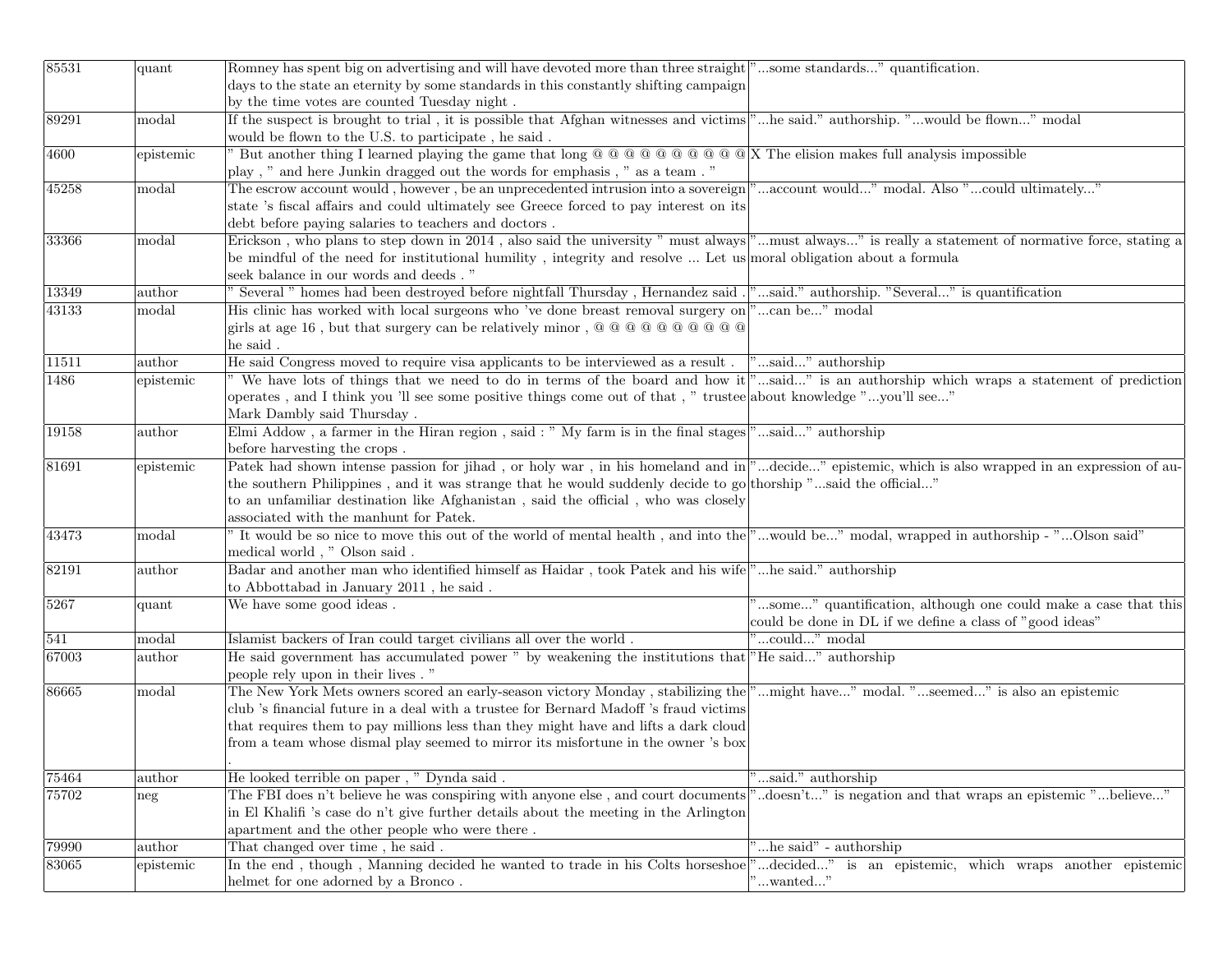| 85531 | quant     | Romney has spent big on advertising and will have devoted more than three straight"some standards" quantification.                                  |                                                                 |
|-------|-----------|-----------------------------------------------------------------------------------------------------------------------------------------------------|-----------------------------------------------------------------|
|       |           | days to the state an eternity by some standards in this constantly shifting campaign                                                                |                                                                 |
|       |           | by the time votes are counted Tuesday night.                                                                                                        |                                                                 |
| 89291 | modal     | If the suspect is brought to trial, it is possible that Afghan witnesses and victims <sup>"</sup> he said." authorship. "would be flown" modal      |                                                                 |
|       |           | would be flown to the U.S. to participate, he said.                                                                                                 |                                                                 |
| 4600  | epistemic | But another thing I learned playing the game that long $@@@@@@@@@@@%$ X The elision makes full analysis impossible                                  |                                                                 |
|       |           | play, " and here Junkin dragged out the words for emphasis, " as a team."                                                                           |                                                                 |
| 45258 | modal     | The escrow account would, however, be an unprecedented intrusion into a sovereign "account would" modal. Also "could ultimately"                    |                                                                 |
|       |           | state 's fiscal affairs and could ultimately see Greece forced to pay interest on its                                                               |                                                                 |
|       |           | debt before paying salaries to teachers and doctors.                                                                                                |                                                                 |
| 33366 | modal     | Erickson, who plans to step down in 2014, also said the university " must always " must always" is really a statement of normative force, stating a |                                                                 |
|       |           | be mindful of the need for institutional humility, integrity and resolve  Let us moral obligation about a formula                                   |                                                                 |
|       |           | seek balance in our words and deeds . "                                                                                                             |                                                                 |
| 13349 | author    | Several " homes had been destroyed before nightfall Thursday, Hernandez said." said." authorship. "Several" is quantification                       |                                                                 |
| 43133 | modal     | His clinic has worked with local surgeons who 've done breast removal surgery on "can be" modal                                                     |                                                                 |
|       |           |                                                                                                                                                     |                                                                 |
|       |           | he said.                                                                                                                                            |                                                                 |
| 11511 | author    | He said Congress moved to require visa applicants to be interviewed as a result .  "said" authorship                                                |                                                                 |
| 1486  | epistemic | We have lots of things that we need to do in terms of the board and how it "said" is an authorship which wraps a statement of prediction            |                                                                 |
|       |           | operates, and I think you 'll see some positive things come out of that, " trustee about knowledge "you'll see"                                     |                                                                 |
|       |           | Mark Dambly said Thursday.                                                                                                                          |                                                                 |
| 19158 | author    | Elmi Addow, a farmer in the Hiran region, said: " My farm is in the final stages "said" authorship                                                  |                                                                 |
|       |           | before harvesting the crops.                                                                                                                        |                                                                 |
| 81691 | epistemic | Patek had shown intense passion for jihad, or holy war, in his homeland and in "decide" epistemic, which is also wrapped in an expression of au-    |                                                                 |
|       |           | the southern Philippines, and it was strange that he would suddenly decide to go thorship "said the official"                                       |                                                                 |
|       |           | to an unfamiliar destination like Afghanistan, said the official, who was closely                                                                   |                                                                 |
|       |           | associated with the manhunt for Patek.                                                                                                              |                                                                 |
| 43473 | modal     | It would be so nice to move this out of the world of mental health, and into the "would be" modal, wrapped in authorship - "Olson said"             |                                                                 |
|       |           | medical world, " Olson said.                                                                                                                        |                                                                 |
| 82191 | author    | Badar and another man who identified himself as Haidar, took Patek and his wife"he said." authorship                                                |                                                                 |
|       |           | to Abbottabad in January 2011, he said.                                                                                                             |                                                                 |
| 5267  | quant     | We have some good ideas.                                                                                                                            | "some" quantification, although one could make a case that this |
|       |           |                                                                                                                                                     | could be done in DL if we define a class of "good ideas"        |
| 541   | modal     | Islamist backers of Iran could target civilians all over the world.                                                                                 | "could" modal                                                   |
| 67003 | author    | He said government has accumulated power " by weakening the institutions that "He said" authorship                                                  |                                                                 |
|       |           | people rely upon in their lives."                                                                                                                   |                                                                 |
| 86665 | modal     | The New York Mets owners scored an early-season victory Monday, stabilizing the "might have" modal. "seemed" is also an epistemic                   |                                                                 |
|       |           | club 's financial future in a deal with a trustee for Bernard Madoff 's fraud victims                                                               |                                                                 |
|       |           | that requires them to pay millions less than they might have and lifts a dark cloud                                                                 |                                                                 |
|       |           | from a team whose dismal play seemed to mirror its misfortune in the owner 's box                                                                   |                                                                 |
|       |           |                                                                                                                                                     |                                                                 |
| 75464 | author    | He looked terrible on paper, " Dynda said.                                                                                                          | "said." authorship                                              |
| 75702 | neg       | The FBI does n't believe he was conspiring with anyone else, and court documents                                                                    | "doesn't" is negation and that wraps an epistemic "believe"     |
|       |           | in El Khalifi 's case do n't give further details about the meeting in the Arlington                                                                |                                                                 |
|       |           | apartment and the other people who were there.                                                                                                      |                                                                 |
| 79990 | author    | That changed over time, he said.                                                                                                                    | "he said" - authorship                                          |
| 83065 | epistemic | In the end, though, Manning decided he wanted to trade in his Colts horseshoe                                                                       | "decided" is an epistemic, which wraps another epistemic        |
|       |           | helmet for one adorned by a Bronco.                                                                                                                 | $\ldots$ wanted $\ldots$ "                                      |